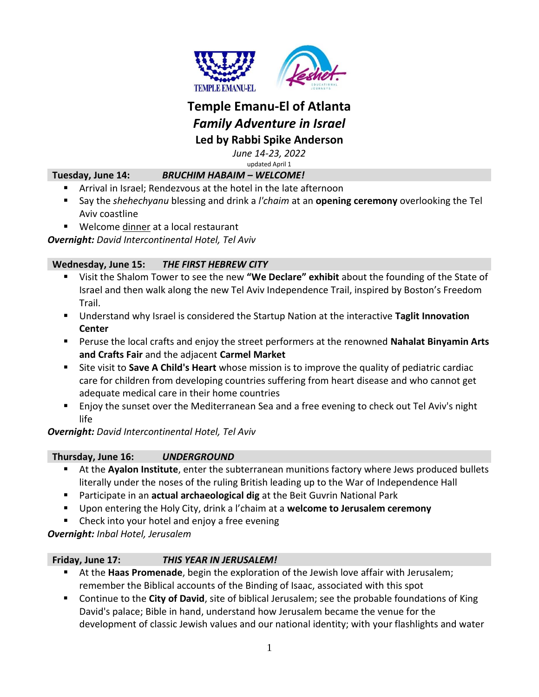

# **Temple Emanu-El of Atlanta** *Family Adventure in Israel* **Led by Rabbi Spike Anderson**

*June 14-23, 2022*

updated April 1

## **Tuesday, June 14:** *BRUCHIM HABAIM – WELCOME!*

- Arrival in Israel; Rendezvous at the hotel in the late afternoon
- Say the *shehechyanu* blessing and drink a *l'chaim* at an **opening ceremony** overlooking the Tel Aviv coastline
- Welcome dinner at a local restaurant

*Overnight: David Intercontinental Hotel, Tel Aviv*

## **Wednesday, June 15:** *THE FIRST HEBREW CITY*

- Visit the Shalom Tower to see the new **"We Declare" exhibit** about the founding of the State of Israel and then walk along the new Tel Aviv Independence Trail, inspired by Boston's Freedom Trail.
- Understand why Israel is considered the Startup Nation at the interactive **Taglit Innovation Center**
- Peruse the local crafts and enjoy the street performers at the renowned **Nahalat Binyamin Arts and Crafts Fair** and the adjacent **Carmel Market**
- Site visit to **Save A Child's Heart** whose mission is to improve the quality of pediatric cardiac care for children from developing countries suffering from heart disease and who cannot get adequate medical care in their home countries
- **E** Enjoy the sunset over the Mediterranean Sea and a free evening to check out Tel Aviv's night life

# *Overnight: David Intercontinental Hotel, Tel Aviv*

# **Thursday, June 16:** *UNDERGROUND*

- At the **Ayalon Institute**, enter the subterranean munitions factory where Jews produced bullets literally under the noses of the ruling British leading up to the War of Independence Hall
- **Participate in an actual archaeological dig** at the Beit Guvrin National Park
- Upon entering the Holy City, drink a l'chaim at a **welcome to Jerusalem ceremony**
- Check into your hotel and enjoy a free evening

*Overnight: Inbal Hotel, Jerusalem*

# **Friday, June 17:** *THIS YEAR IN JERUSALEM!*

- At the **Haas Promenade**, begin the exploration of the Jewish love affair with Jerusalem; remember the Biblical accounts of the Binding of Isaac, associated with this spot
- Continue to the **City of David**, site of biblical Jerusalem; see the probable foundations of King David's palace; Bible in hand, understand how Jerusalem became the venue for the development of classic Jewish values and our national identity; with your flashlights and water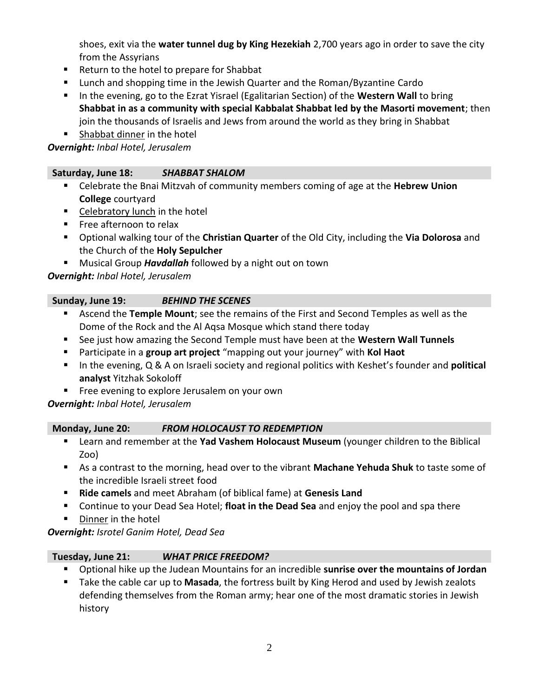shoes, exit via the **water tunnel dug by King Hezekiah** 2,700 years ago in order to save the city from the Assyrians

- Return to the hotel to prepare for Shabbat
- **Lunch and shopping time in the Jewish Quarter and the Roman/Byzantine Cardo**
- **IF In the evening, go to the Ezrat Yisrael (Egalitarian Section) of the Western Wall to bring Shabbat in as a community with special Kabbalat Shabbat led by the Masorti movement**; then join the thousands of Israelis and Jews from around the world as they bring in Shabbat
- Shabbat dinner in the hotel

*Overnight: Inbal Hotel, Jerusalem*

## **Saturday, June 18:** *SHABBAT SHALOM*

- Celebrate the Bnai Mitzvah of community members coming of age at the **Hebrew Union College** courtyard
- Celebratory lunch in the hotel
- **Free afternoon to relax**
- Optional walking tour of the **Christian Quarter** of the Old City, including the **Via Dolorosa** and the Church of the **Holy Sepulcher**
- **Musical Group Havdallah** followed by a night out on town

*Overnight: Inbal Hotel, Jerusalem*

#### **Sunday, June 19:** *BEHIND THE SCENES*

- Ascend the **Temple Mount**; see the remains of the First and Second Temples as well as the Dome of the Rock and the Al Aqsa Mosque which stand there today
- See just how amazing the Second Temple must have been at the **Western Wall Tunnels**
- Participate in a **group art project** "mapping out your journey" with **Kol Haot**
- In the evening, Q & A on Israeli society and regional politics with Keshet's founder and **political analyst** Yitzhak Sokoloff
- **Fig. 2** Free evening to explore Jerusalem on your own

*Overnight: Inbal Hotel, Jerusalem*

#### **Monday, June 20:** *FROM HOLOCAUST TO REDEMPTION*

- Learn and remember at the **Yad Vashem Holocaust Museum** (younger children to the Biblical Zoo)
- As a contrast to the morning, head over to the vibrant **Machane Yehuda Shuk** to taste some of the incredible Israeli street food
- **Ride camels** and meet Abraham (of biblical fame) at **Genesis Land**
- Continue to your Dead Sea Hotel; **float in the Dead Sea** and enjoy the pool and spa there
- **Dinner in the hotel**

*Overnight: Isrotel Ganim Hotel, Dead Sea*

# **Tuesday, June 21:** *WHAT PRICE FREEDOM?*

- Optional hike up the Judean Mountains for an incredible **sunrise over the mountains of Jordan**
- Take the cable car up to **Masada**, the fortress built by King Herod and used by Jewish zealots defending themselves from the Roman army; hear one of the most dramatic stories in Jewish history